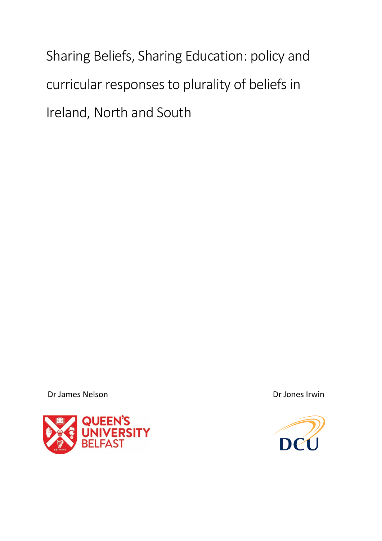Sharing Beliefs, Sharing Education: policy and curricular responses to plurality of beliefs in Ireland, North and South

Dr James Nelson Dr Jones Irwin



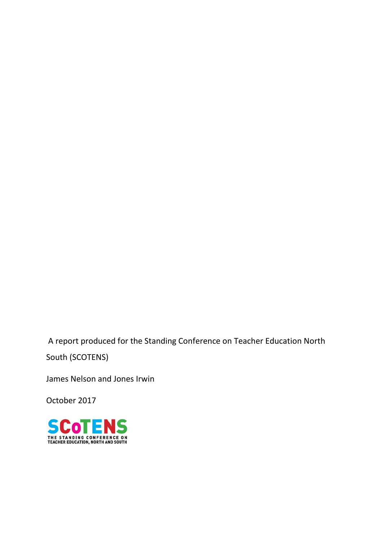A report produced for the Standing Conference on Teacher Education North South (SCOTENS)

James Nelson and Jones Irwin

October 2017

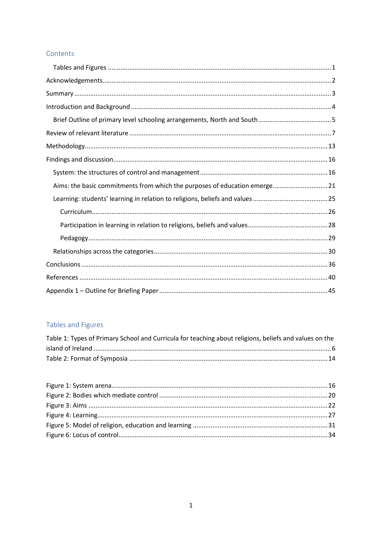## Contents

| Aims: the basic commitments from which the purposes of education emerge 21 |
|----------------------------------------------------------------------------|
|                                                                            |
|                                                                            |
|                                                                            |
|                                                                            |
|                                                                            |
|                                                                            |
|                                                                            |
|                                                                            |

# <span id="page-2-0"></span>Tables and Figures

| Table 1: Types of Primary School and Curricula for teaching about religions, beliefs and values on the |  |
|--------------------------------------------------------------------------------------------------------|--|
|                                                                                                        |  |
|                                                                                                        |  |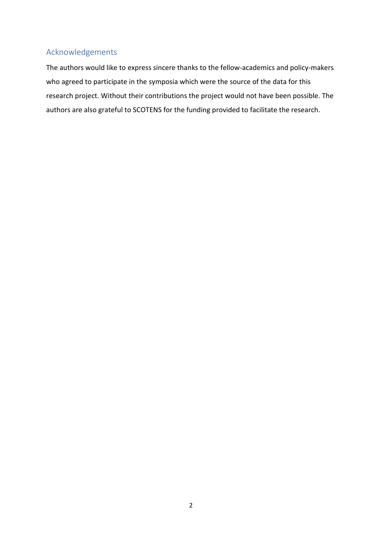# <span id="page-3-0"></span>Acknowledgements

The authors would like to express sincere thanks to the fellow-academics and policy-makers who agreed to participate in the symposia which were the source of the data for this research project. Without their contributions the project would not have been possible. The authors are also grateful to SCOTENS for the funding provided to facilitate the research.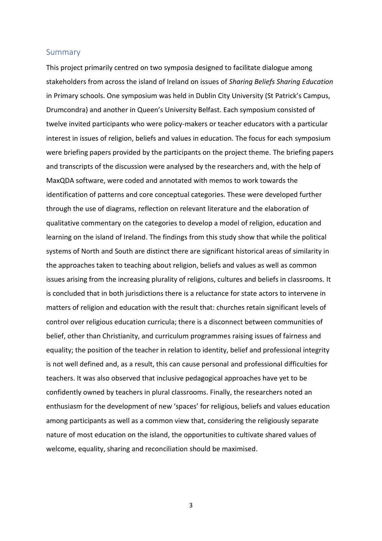### <span id="page-4-0"></span>Summary

This project primarily centred on two symposia designed to facilitate dialogue among stakeholders from across the island of Ireland on issues of *Sharing Beliefs Sharing Education* in Primary schools. One symposium was held in Dublin City University (St Patrick's Campus, Drumcondra) and another in Queen's University Belfast. Each symposium consisted of twelve invited participants who were policy-makers or teacher educators with a particular interest in issues of religion, beliefs and values in education. The focus for each symposium were briefing papers provided by the participants on the project theme. The briefing papers and transcripts of the discussion were analysed by the researchers and, with the help of MaxQDA software, were coded and annotated with memos to work towards the identification of patterns and core conceptual categories. These were developed further through the use of diagrams, reflection on relevant literature and the elaboration of qualitative commentary on the categories to develop a model of religion, education and learning on the island of Ireland. The findings from this study show that while the political systems of North and South are distinct there are significant historical areas of similarity in the approaches taken to teaching about religion, beliefs and values as well as common issues arising from the increasing plurality of religions, cultures and beliefs in classrooms. It is concluded that in both jurisdictions there is a reluctance for state actors to intervene in matters of religion and education with the result that: churches retain significant levels of control over religious education curricula; there is a disconnect between communities of belief, other than Christianity, and curriculum programmes raising issues of fairness and equality; the position of the teacher in relation to identity, belief and professional integrity is not well defined and, as a result, this can cause personal and professional difficulties for teachers. It was also observed that inclusive pedagogical approaches have yet to be confidently owned by teachers in plural classrooms. Finally, the researchers noted an enthusiasm for the development of new 'spaces' for religious, beliefs and values education among participants as well as a common view that, considering the religiously separate nature of most education on the island, the opportunities to cultivate shared values of welcome, equality, sharing and reconciliation should be maximised.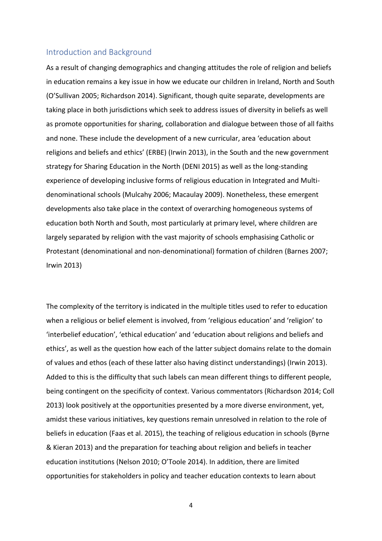## <span id="page-5-0"></span>Introduction and Background

As a result of changing demographics and changing attitudes the role of religion and beliefs in education remains a key issue in how we educate our children in Ireland, North and South (O'Sullivan 2005; Richardson 2014). Significant, though quite separate, developments are taking place in both jurisdictions which seek to address issues of diversity in beliefs as well as promote opportunities for sharing, collaboration and dialogue between those of all faiths and none. These include the development of a new curricular, area 'education about religions and beliefs and ethics' (ERBE) (Irwin 2013), in the South and the new government strategy for Sharing Education in the North (DENI 2015) as well as the long-standing experience of developing inclusive forms of religious education in Integrated and Multidenominational schools (Mulcahy 2006; Macaulay 2009). Nonetheless, these emergent developments also take place in the context of overarching homogeneous systems of education both North and South, most particularly at primary level, where children are largely separated by religion with the vast majority of schools emphasising Catholic or Protestant (denominational and non-denominational) formation of children (Barnes 2007; Irwin 2013)

The complexity of the territory is indicated in the multiple titles used to refer to education when a religious or belief element is involved, from 'religious education' and 'religion' to 'interbelief education', 'ethical education' and 'education about religions and beliefs and ethics', as well as the question how each of the latter subject domains relate to the domain of values and ethos (each of these latter also having distinct understandings) (Irwin 2013). Added to this is the difficulty that such labels can mean different things to different people, being contingent on the specificity of context. Various commentators (Richardson 2014; Coll 2013) look positively at the opportunities presented by a more diverse environment, yet, amidst these various initiatives, key questions remain unresolved in relation to the role of beliefs in education (Faas et al. 2015), the teaching of religious education in schools (Byrne & Kieran 2013) and the preparation for teaching about religion and beliefs in teacher education institutions (Nelson 2010; O'Toole 2014). In addition, there are limited opportunities for stakeholders in policy and teacher education contexts to learn about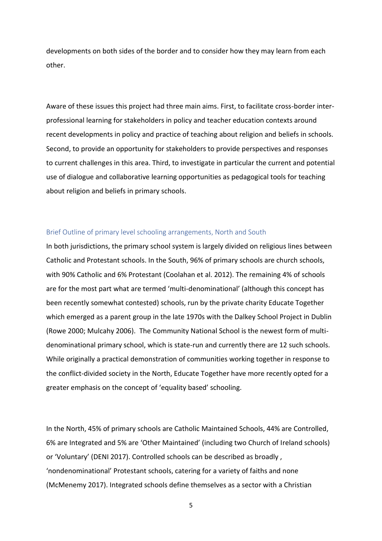developments on both sides of the border and to consider how they may learn from each other.

Aware of these issues this project had three main aims. First, to facilitate cross-border interprofessional learning for stakeholders in policy and teacher education contexts around recent developments in policy and practice of teaching about religion and beliefs in schools. Second, to provide an opportunity for stakeholders to provide perspectives and responses to current challenges in this area. Third, to investigate in particular the current and potential use of dialogue and collaborative learning opportunities as pedagogical tools for teaching about religion and beliefs in primary schools.

#### <span id="page-6-0"></span>Brief Outline of primary level schooling arrangements, North and South

In both jurisdictions, the primary school system is largely divided on religious lines between Catholic and Protestant schools. In the South, 96% of primary schools are church schools, with 90% Catholic and 6% Protestant (Coolahan et al. 2012). The remaining 4% of schools are for the most part what are termed 'multi-denominational' (although this concept has been recently somewhat contested) schools, run by the private charity Educate Together which emerged as a parent group in the late 1970s with the Dalkey School Project in Dublin (Rowe 2000; Mulcahy 2006). The Community National School is the newest form of multidenominational primary school, which is state-run and currently there are 12 such schools. While originally a practical demonstration of communities working together in response to the conflict-divided society in the North, Educate Together have more recently opted for a greater emphasis on the concept of 'equality based' schooling.

In the North, 45% of primary schools are Catholic Maintained Schools, 44% are Controlled, 6% are Integrated and 5% are 'Other Maintained' (including two Church of Ireland schools) or 'Voluntary' (DENI 2017). Controlled schools can be described as broadly , 'nondenominational' Protestant schools, catering for a variety of faiths and none (McMenemy 2017). Integrated schools define themselves as a sector with a Christian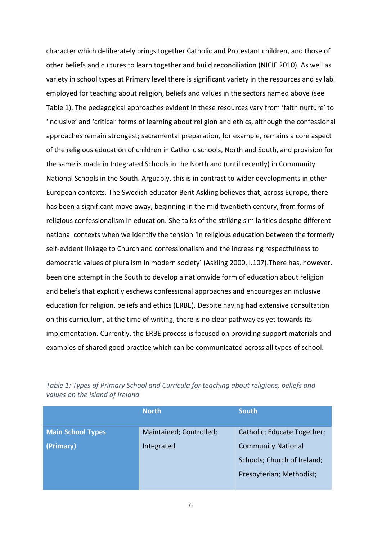character which deliberately brings together Catholic and Protestant children, and those of other beliefs and cultures to learn together and build reconciliation (NICIE 2010). As well as variety in school types at Primary level there is significant variety in the resources and syllabi employed for teaching about religion, beliefs and values in the sectors named above (see Table 1). The pedagogical approaches evident in these resources vary from 'faith nurture' to 'inclusive' and 'critical' forms of learning about religion and ethics, although the confessional approaches remain strongest; sacramental preparation, for example, remains a core aspect of the religious education of children in Catholic schools, North and South, and provision for the same is made in Integrated Schools in the North and (until recently) in Community National Schools in the South. Arguably, this is in contrast to wider developments in other European contexts. The Swedish educator Berit Askling believes that, across Europe, there has been a significant move away, beginning in the mid twentieth century, from forms of religious confessionalism in education. She talks of the striking similarities despite different national contexts when we identify the tension 'in religious education between the formerly self-evident linkage to Church and confessionalism and the increasing respectfulness to democratic values of pluralism in modern society' (Askling 2000, l.107).There has, however, been one attempt in the South to develop a nationwide form of education about religion and beliefs that explicitly eschews confessional approaches and encourages an inclusive education for religion, beliefs and ethics (ERBE). Despite having had extensive consultation on this curriculum, at the time of writing, there is no clear pathway as yet towards its implementation. Currently, the ERBE process is focused on providing support materials and examples of shared good practice which can be communicated across all types of school.

|                          | <b>North</b>            | <b>South</b>                |
|--------------------------|-------------------------|-----------------------------|
| <b>Main School Types</b> | Maintained; Controlled; | Catholic; Educate Together; |
| (Primary)                | Integrated              | <b>Community National</b>   |
|                          |                         | Schools; Church of Ireland; |
|                          |                         | Presbyterian; Methodist;    |
|                          |                         |                             |

*Table 1: Types of Primary School and Curricula for teaching about religions, beliefs and values on the island of Ireland*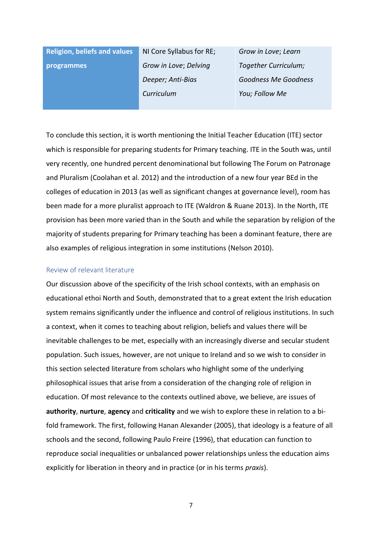**Religion, beliefs and values programmes**

NI Core Syllabus for RE; *Grow in Love*; *Delving Deeper; Anti-Bias Curriculum*

*Grow in Love*; *Learn Together Curriculum; Goodness Me Goodness You; Follow Me*

To conclude this section, it is worth mentioning the Initial Teacher Education (ITE) sector which is responsible for preparing students for Primary teaching. ITE in the South was, until very recently, one hundred percent denominational but following The Forum on Patronage and Pluralism (Coolahan et al. 2012) and the introduction of a new four year BEd in the colleges of education in 2013 (as well as significant changes at governance level), room has been made for a more pluralist approach to ITE (Waldron & Ruane 2013). In the North, ITE provision has been more varied than in the South and while the separation by religion of the majority of students preparing for Primary teaching has been a dominant feature, there are also examples of religious integration in some institutions (Nelson 2010).

### <span id="page-8-0"></span>Review of relevant literature

Our discussion above of the specificity of the Irish school contexts, with an emphasis on educational ethoi North and South, demonstrated that to a great extent the Irish education system remains significantly under the influence and control of religious institutions. In such a context, when it comes to teaching about religion, beliefs and values there will be inevitable challenges to be met, especially with an increasingly diverse and secular student population. Such issues, however, are not unique to Ireland and so we wish to consider in this section selected literature from scholars who highlight some of the underlying philosophical issues that arise from a consideration of the changing role of religion in education. Of most relevance to the contexts outlined above, we believe, are issues of **authority**, **nurture**, **agency** and **criticality** and we wish to explore these in relation to a bifold framework. The first, following Hanan Alexander (2005), that ideology is a feature of all schools and the second, following Paulo Freire (1996), that education can function to reproduce social inequalities or unbalanced power relationships unless the education aims explicitly for liberation in theory and in practice (or in his terms *praxis*).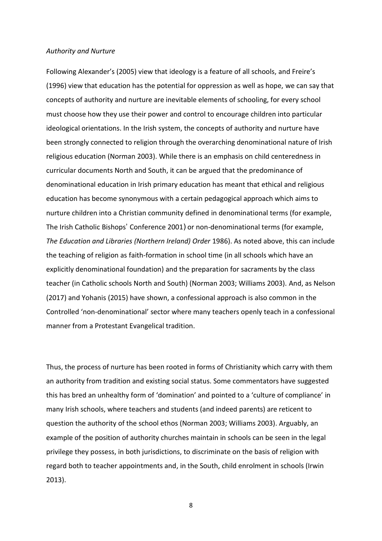#### *Authority and Nurture*

Following Alexander's (2005) view that ideology is a feature of all schools, and Freire's (1996) view that education has the potential for oppression as well as hope, we can say that concepts of authority and nurture are inevitable elements of schooling, for every school must choose how they use their power and control to encourage children into particular ideological orientations. In the Irish system, the concepts of authority and nurture have been strongly connected to religion through the overarching denominational nature of Irish religious education (Norman 2003). While there is an emphasis on child centeredness in curricular documents North and South, it can be argued that the predominance of denominational education in Irish primary education has meant that ethical and religious education has become synonymous with a certain pedagogical approach which aims to nurture children into a Christian community defined in denominational terms (for example, The Irish Catholic Bishops' Conference 2001) or non-denominational terms (for example, *The Education and Libraries (Northern Ireland) Order* 1986). As noted above, this can include the teaching of religion as faith-formation in school time (in all schools which have an explicitly denominational foundation) and the preparation for sacraments by the class teacher (in Catholic schools North and South) (Norman 2003; Williams 2003). And, as Nelson (2017) and Yohanis (2015) have shown, a confessional approach is also common in the Controlled 'non-denominational' sector where many teachers openly teach in a confessional manner from a Protestant Evangelical tradition.

Thus, the process of nurture has been rooted in forms of Christianity which carry with them an authority from tradition and existing social status. Some commentators have suggested this has bred an unhealthy form of 'domination' and pointed to a 'culture of compliance' in many Irish schools, where teachers and students (and indeed parents) are reticent to question the authority of the school ethos (Norman 2003; Williams 2003). Arguably, an example of the position of authority churches maintain in schools can be seen in the legal privilege they possess, in both jurisdictions, to discriminate on the basis of religion with regard both to teacher appointments and, in the South, child enrolment in schools (Irwin 2013).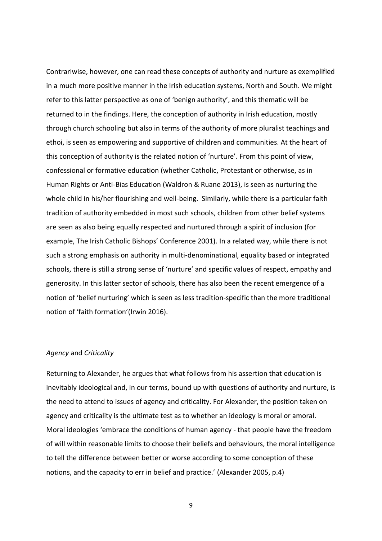Contrariwise, however, one can read these concepts of authority and nurture as exemplified in a much more positive manner in the Irish education systems, North and South. We might refer to this latter perspective as one of 'benign authority', and this thematic will be returned to in the findings. Here, the conception of authority in Irish education, mostly through church schooling but also in terms of the authority of more pluralist teachings and ethoi, is seen as empowering and supportive of children and communities. At the heart of this conception of authority is the related notion of 'nurture'. From this point of view, confessional or formative education (whether Catholic, Protestant or otherwise, as in Human Rights or Anti-Bias Education (Waldron & Ruane 2013), is seen as nurturing the whole child in his/her flourishing and well-being. Similarly, while there is a particular faith tradition of authority embedded in most such schools, children from other belief systems are seen as also being equally respected and nurtured through a spirit of inclusion (for example, The Irish Catholic Bishops' Conference 2001). In a related way, while there is not such a strong emphasis on authority in multi-denominational, equality based or integrated schools, there is still a strong sense of 'nurture' and specific values of respect, empathy and generosity. In this latter sector of schools, there has also been the recent emergence of a notion of 'belief nurturing' which is seen as less tradition-specific than the more traditional notion of 'faith formation'(Irwin 2016).

### *Agency* and *Criticality*

Returning to Alexander, he argues that what follows from his assertion that education is inevitably ideological and, in our terms, bound up with questions of authority and nurture, is the need to attend to issues of agency and criticality. For Alexander, the position taken on agency and criticality is the ultimate test as to whether an ideology is moral or amoral. Moral ideologies 'embrace the conditions of human agency - that people have the freedom of will within reasonable limits to choose their beliefs and behaviours, the moral intelligence to tell the difference between better or worse according to some conception of these notions, and the capacity to err in belief and practice.' (Alexander 2005, p.4)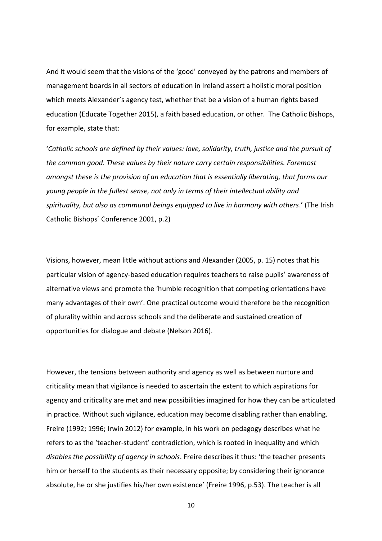And it would seem that the visions of the 'good' conveyed by the patrons and members of management boards in all sectors of education in Ireland assert a holistic moral position which meets Alexander's agency test, whether that be a vision of a human rights based education (Educate Together 2015), a faith based education, or other. The Catholic Bishops, for example, state that:

'*Catholic schools are defined by their values: love, solidarity, truth, justice and the pursuit of the common good. These values by their nature carry certain responsibilities. Foremost amongst these is the provision of an education that is essentially liberating, that forms our young people in the fullest sense, not only in terms of their intellectual ability and spirituality, but also as communal beings equipped to live in harmony with others*.' (The Irish Catholic Bishops' Conference 2001, p.2)

Visions, however, mean little without actions and Alexander (2005, p. 15) notes that his particular vision of agency-based education requires teachers to raise pupils' awareness of alternative views and promote the 'humble recognition that competing orientations have many advantages of their own'. One practical outcome would therefore be the recognition of plurality within and across schools and the deliberate and sustained creation of opportunities for dialogue and debate (Nelson 2016).

However, the tensions between authority and agency as well as between nurture and criticality mean that vigilance is needed to ascertain the extent to which aspirations for agency and criticality are met and new possibilities imagined for how they can be articulated in practice. Without such vigilance, education may become disabling rather than enabling. Freire (1992; 1996; Irwin 2012) for example, in his work on pedagogy describes what he refers to as the 'teacher-student' contradiction, which is rooted in inequality and which *disables the possibility of agency in schools*. Freire describes it thus: 'the teacher presents him or herself to the students as their necessary opposite; by considering their ignorance absolute, he or she justifies his/her own existence' (Freire 1996, p.53). The teacher is all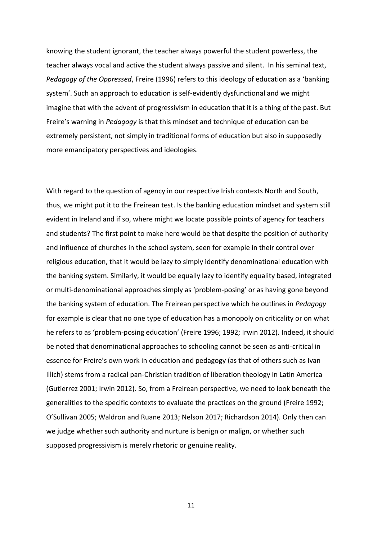knowing the student ignorant, the teacher always powerful the student powerless, the teacher always vocal and active the student always passive and silent. In his seminal text, *Pedagogy of the Oppressed*, Freire (1996) refers to this ideology of education as a 'banking system'. Such an approach to education is self-evidently dysfunctional and we might imagine that with the advent of progressivism in education that it is a thing of the past. But Freire's warning in *Pedagogy* is that this mindset and technique of education can be extremely persistent, not simply in traditional forms of education but also in supposedly more emancipatory perspectives and ideologies.

With regard to the question of agency in our respective Irish contexts North and South, thus, we might put it to the Freirean test. Is the banking education mindset and system still evident in Ireland and if so, where might we locate possible points of agency for teachers and students? The first point to make here would be that despite the position of authority and influence of churches in the school system, seen for example in their control over religious education, that it would be lazy to simply identify denominational education with the banking system. Similarly, it would be equally lazy to identify equality based, integrated or multi-denominational approaches simply as 'problem-posing' or as having gone beyond the banking system of education. The Freirean perspective which he outlines in *Pedagogy* for example is clear that no one type of education has a monopoly on criticality or on what he refers to as 'problem-posing education' (Freire 1996; 1992; Irwin 2012). Indeed, it should be noted that denominational approaches to schooling cannot be seen as anti-critical in essence for Freire's own work in education and pedagogy (as that of others such as Ivan Illich) stems from a radical pan-Christian tradition of liberation theology in Latin America (Gutierrez 2001; Irwin 2012). So, from a Freirean perspective, we need to look beneath the generalities to the specific contexts to evaluate the practices on the ground (Freire 1992; O'Sullivan 2005; Waldron and Ruane 2013; Nelson 2017; Richardson 2014). Only then can we judge whether such authority and nurture is benign or malign, or whether such supposed progressivism is merely rhetoric or genuine reality.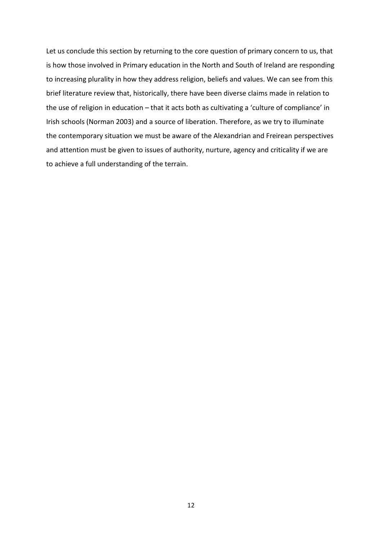Let us conclude this section by returning to the core question of primary concern to us, that is how those involved in Primary education in the North and South of Ireland are responding to increasing plurality in how they address religion, beliefs and values. We can see from this brief literature review that, historically, there have been diverse claims made in relation to the use of religion in education – that it acts both as cultivating a 'culture of compliance' in Irish schools (Norman 2003) and a source of liberation. Therefore, as we try to illuminate the contemporary situation we must be aware of the Alexandrian and Freirean perspectives and attention must be given to issues of authority, nurture, agency and criticality if we are to achieve a full understanding of the terrain.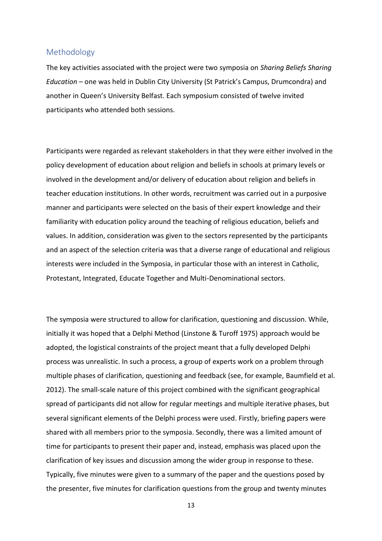## <span id="page-14-0"></span>Methodology

The key activities associated with the project were two symposia on *Sharing Beliefs Sharing Education* – one was held in Dublin City University (St Patrick's Campus, Drumcondra) and another in Queen's University Belfast. Each symposium consisted of twelve invited participants who attended both sessions.

Participants were regarded as relevant stakeholders in that they were either involved in the policy development of education about religion and beliefs in schools at primary levels or involved in the development and/or delivery of education about religion and beliefs in teacher education institutions. In other words, recruitment was carried out in a purposive manner and participants were selected on the basis of their expert knowledge and their familiarity with education policy around the teaching of religious education, beliefs and values. In addition, consideration was given to the sectors represented by the participants and an aspect of the selection criteria was that a diverse range of educational and religious interests were included in the Symposia, in particular those with an interest in Catholic, Protestant, Integrated, Educate Together and Multi-Denominational sectors.

The symposia were structured to allow for clarification, questioning and discussion. While, initially it was hoped that a Delphi Method (Linstone & Turoff 1975) approach would be adopted, the logistical constraints of the project meant that a fully developed Delphi process was unrealistic. In such a process, a group of experts work on a problem through multiple phases of clarification, questioning and feedback (see, for example, Baumfield et al. 2012). The small-scale nature of this project combined with the significant geographical spread of participants did not allow for regular meetings and multiple iterative phases, but several significant elements of the Delphi process were used. Firstly, briefing papers were shared with all members prior to the symposia. Secondly, there was a limited amount of time for participants to present their paper and, instead, emphasis was placed upon the clarification of key issues and discussion among the wider group in response to these. Typically, five minutes were given to a summary of the paper and the questions posed by the presenter, five minutes for clarification questions from the group and twenty minutes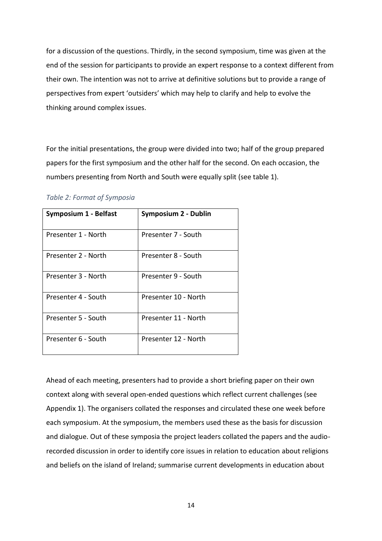for a discussion of the questions. Thirdly, in the second symposium, time was given at the end of the session for participants to provide an expert response to a context different from their own. The intention was not to arrive at definitive solutions but to provide a range of perspectives from expert 'outsiders' which may help to clarify and help to evolve the thinking around complex issues.

For the initial presentations, the group were divided into two; half of the group prepared papers for the first symposium and the other half for the second. On each occasion, the numbers presenting from North and South were equally split (see table 1).

| <b>Symposium 1 - Belfast</b> | Symposium 2 - Dublin |
|------------------------------|----------------------|
| Presenter 1 - North          | Presenter 7 - South  |
| Presenter 2 - North          | Presenter 8 - South  |
| Presenter 3 - North          | Presenter 9 - South  |
| Presenter 4 - South          | Presenter 10 - North |
| Presenter 5 - South          | Presenter 11 - North |
| Presenter 6 - South          | Presenter 12 - North |

### *Table 2: Format of Symposia*

Ahead of each meeting, presenters had to provide a short briefing paper on their own context along with several open-ended questions which reflect current challenges (see Appendix 1). The organisers collated the responses and circulated these one week before each symposium. At the symposium, the members used these as the basis for discussion and dialogue. Out of these symposia the project leaders collated the papers and the audiorecorded discussion in order to identify core issues in relation to education about religions and beliefs on the island of Ireland; summarise current developments in education about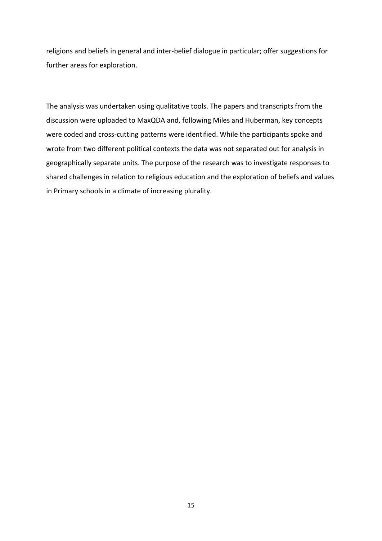religions and beliefs in general and inter-belief dialogue in particular; offer suggestions for further areas for exploration.

The analysis was undertaken using qualitative tools. The papers and transcripts from the discussion were uploaded to MaxQDA and, following Miles and Huberman, key concepts were coded and cross-cutting patterns were identified. While the participants spoke and wrote from two different political contexts the data was not separated out for analysis in geographically separate units. The purpose of the research was to investigate responses to shared challenges in relation to religious education and the exploration of beliefs and values in Primary schools in a climate of increasing plurality.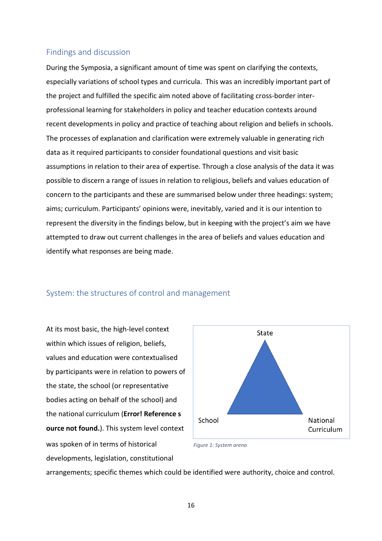## <span id="page-17-0"></span>Findings and discussion

During the Symposia, a significant amount of time was spent on clarifying the contexts, especially variations of school types and curricula. This was an incredibly important part of the project and fulfilled the specific aim noted above of facilitating cross-border interprofessional learning for stakeholders in policy and teacher education contexts around recent developments in policy and practice of teaching about religion and beliefs in schools. The processes of explanation and clarification were extremely valuable in generating rich data as it required participants to consider foundational questions and visit basic assumptions in relation to their area of expertise. Through a close analysis of the data it was possible to discern a range of issues in relation to religious, beliefs and values education of concern to the participants and these are summarised below under three headings: system; aims; curriculum. Participants' opinions were, inevitably, varied and it is our intention to represent the diversity in the findings below, but in keeping with the project's aim we have attempted to draw out current challenges in the area of beliefs and values education and identify what responses are being made.

## <span id="page-17-1"></span>System: the structures of control and management

At its most basic, the high-level context within which issues of religion, beliefs, values and education were contextualised by participants were in relation to powers of the state, the school (or representative bodies acting on behalf of the school) and the national curriculum (**Error! Reference s ource not found.**). This system level context was spoken of in terms of historical developments, legislation, constitutional



*Figure 1: System arena*

arrangements; specific themes which could be identified were authority, choice and control.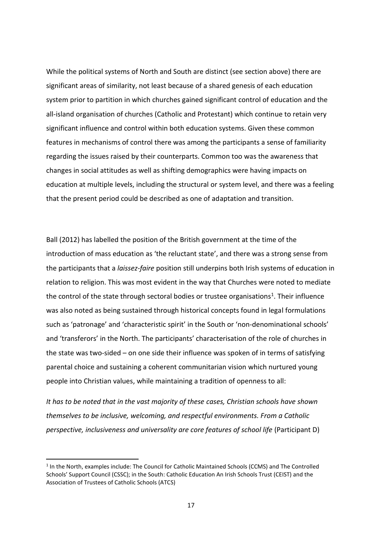While the political systems of North and South are distinct (see section above) there are significant areas of similarity, not least because of a shared genesis of each education system prior to partition in which churches gained significant control of education and the all-island organisation of churches (Catholic and Protestant) which continue to retain very significant influence and control within both education systems. Given these common features in mechanisms of control there was among the participants a sense of familiarity regarding the issues raised by their counterparts. Common too was the awareness that changes in social attitudes as well as shifting demographics were having impacts on education at multiple levels, including the structural or system level, and there was a feeling that the present period could be described as one of adaptation and transition.

Ball (2012) has labelled the position of the British government at the time of the introduction of mass education as 'the reluctant state', and there was a strong sense from the participants that a *laissez-faire* position still underpins both Irish systems of education in relation to religion. This was most evident in the way that Churches were noted to mediate the control of the state through sectoral bodies or trustee organisations<sup>1</sup>. Their influence was also noted as being sustained through historical concepts found in legal formulations such as 'patronage' and 'characteristic spirit' in the South or 'non-denominational schools' and 'transferors' in the North. The participants' characterisation of the role of churches in the state was two-sided – on one side their influence was spoken of in terms of satisfying parental choice and sustaining a coherent communitarian vision which nurtured young people into Christian values, while maintaining a tradition of openness to all:

*It has to be noted that in the vast majority of these cases, Christian schools have shown themselves to be inclusive, welcoming, and respectful environments. From a Catholic perspective, inclusiveness and universality are core features of school life (Participant D)* 

<sup>&</sup>lt;sup>1</sup> In the North, examples include: The Council for Catholic Maintained Schools (CCMS) and The Controlled Schools' Support Council (CSSC); in the South: Catholic Education An Irish Schools Trust (CEIST) and the Association of Trustees of Catholic Schools (ATCS)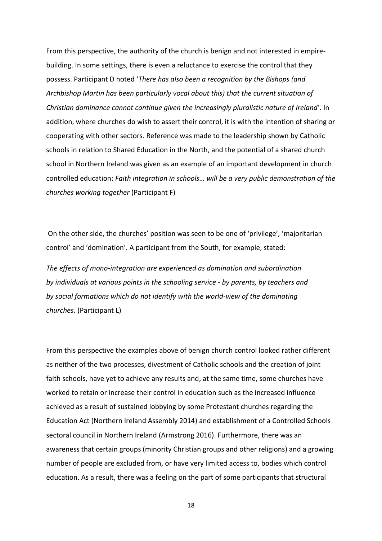From this perspective, the authority of the church is benign and not interested in empirebuilding. In some settings, there is even a reluctance to exercise the control that they possess. Participant D noted '*There has also been a recognition by the Bishops (and Archbishop Martin has been particularly vocal about this) that the current situation of Christian dominance cannot continue given the increasingly pluralistic nature of Ireland*'. In addition, where churches do wish to assert their control, it is with the intention of sharing or cooperating with other sectors. Reference was made to the leadership shown by Catholic schools in relation to Shared Education in the North, and the potential of a shared church school in Northern Ireland was given as an example of an important development in church controlled education: *Faith integration in schools… will be a very public demonstration of the churches working together* (Participant F)

On the other side, the churches' position was seen to be one of 'privilege', 'majoritarian control' and 'domination'. A participant from the South, for example, stated:

*The effects of mono-integration are experienced as domination and subordination by individuals at various points in the schooling service - by parents, by teachers and by social formations which do not identify with the world-view of the dominating churches.* (Participant L)

From this perspective the examples above of benign church control looked rather different as neither of the two processes, divestment of Catholic schools and the creation of joint faith schools, have yet to achieve any results and, at the same time, some churches have worked to retain or increase their control in education such as the increased influence achieved as a result of sustained lobbying by some Protestant churches regarding the Education Act (Northern Ireland Assembly 2014) and establishment of a Controlled Schools sectoral council in Northern Ireland (Armstrong 2016). Furthermore, there was an awareness that certain groups (minority Christian groups and other religions) and a growing number of people are excluded from, or have very limited access to, bodies which control education. As a result, there was a feeling on the part of some participants that structural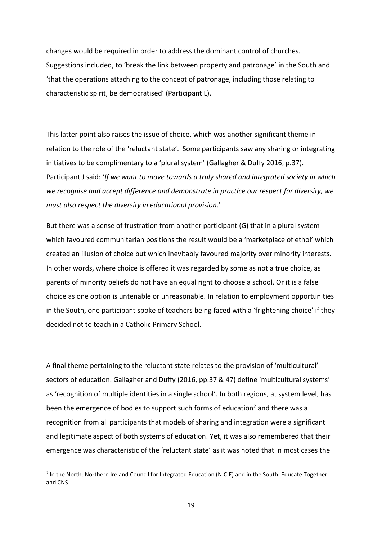changes would be required in order to address the dominant control of churches. Suggestions included, to 'break the link between property and patronage' in the South and 'that the operations attaching to the concept of patronage, including those relating to characteristic spirit, be democratised' (Participant L).

This latter point also raises the issue of choice, which was another significant theme in relation to the role of the 'reluctant state'. Some participants saw any sharing or integrating initiatives to be complimentary to a 'plural system' (Gallagher & Duffy 2016, p.37). Participant J said: '*If we want to move towards a truly shared and integrated society in which we recognise and accept difference and demonstrate in practice our respect for diversity, we must also respect the diversity in educational provision*.'

But there was a sense of frustration from another participant (G) that in a plural system which favoured communitarian positions the result would be a 'marketplace of ethoi' which created an illusion of choice but which inevitably favoured majority over minority interests. In other words, where choice is offered it was regarded by some as not a true choice, as parents of minority beliefs do not have an equal right to choose a school. Or it is a false choice as one option is untenable or unreasonable. In relation to employment opportunities in the South, one participant spoke of teachers being faced with a 'frightening choice' if they decided not to teach in a Catholic Primary School.

A final theme pertaining to the reluctant state relates to the provision of 'multicultural' sectors of education. Gallagher and Duffy (2016, pp.37 & 47) define 'multicultural systems' as 'recognition of multiple identities in a single school'. In both regions, at system level, has been the emergence of bodies to support such forms of education<sup>2</sup> and there was a recognition from all participants that models of sharing and integration were a significant and legitimate aspect of both systems of education. Yet, it was also remembered that their emergence was characteristic of the 'reluctant state' as it was noted that in most cases the

 $\overline{a}$ 

<sup>&</sup>lt;sup>2</sup> In the North: Northern Ireland Council for Integrated Education (NICIE) and in the South: Educate Together and CNS.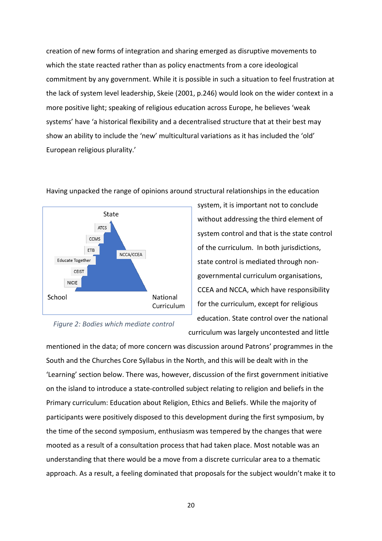creation of new forms of integration and sharing emerged as disruptive movements to which the state reacted rather than as policy enactments from a core ideological commitment by any government. While it is possible in such a situation to feel frustration at the lack of system level leadership, Skeie (2001, p.246) would look on the wider context in a more positive light; speaking of religious education across Europe, he believes 'weak systems' have 'a historical flexibility and a decentralised structure that at their best may show an ability to include the 'new' multicultural variations as it has included the 'old' European religious plurality.'



*Figure 2: Bodies which mediate control*

Having unpacked the range of opinions around structural relationships in the education

system, it is important not to conclude without addressing the third element of system control and that is the state control of the curriculum. In both jurisdictions, state control is mediated through nongovernmental curriculum organisations, CCEA and NCCA, which have responsibility for the curriculum, except for religious education. State control over the national

curriculum was largely uncontested and little

mentioned in the data; of more concern was discussion around Patrons' programmes in the South and the Churches Core Syllabus in the North, and this will be dealt with in the 'Learning' section below. There was, however, discussion of the first government initiative on the island to introduce a state-controlled subject relating to religion and beliefs in the Primary curriculum: Education about Religion, Ethics and Beliefs. While the majority of participants were positively disposed to this development during the first symposium, by the time of the second symposium, enthusiasm was tempered by the changes that were mooted as a result of a consultation process that had taken place. Most notable was an understanding that there would be a move from a discrete curricular area to a thematic approach. As a result, a feeling dominated that proposals for the subject wouldn't make it to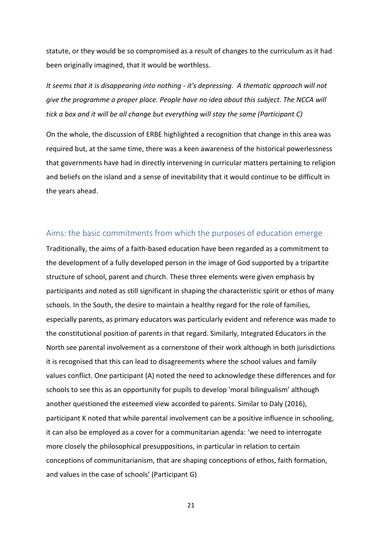statute, or they would be so compromised as a result of changes to the curriculum as it had been originally imagined, that it would be worthless.

*It seems that it is disappearing into nothing - it's depressing. A thematic approach will not give the programme a proper place. People have no idea about this subject. The NCCA will tick a box and it will be all change but everything will stay the same (Participant C)*

On the whole, the discussion of ERBE highlighted a recognition that change in this area was required but, at the same time, there was a keen awareness of the historical powerlessness that governments have had in directly intervening in curricular matters pertaining to religion and beliefs on the island and a sense of inevitability that it would continue to be difficult in the years ahead.

## <span id="page-22-0"></span>Aims: the basic commitments from which the purposes of education emerge

Traditionally, the aims of a faith-based education have been regarded as a commitment to the development of a fully developed person in the image of God supported by a tripartite structure of school, parent and church. These three elements were given emphasis by participants and noted as still significant in shaping the characteristic spirit or ethos of many schools. In the South, the desire to maintain a healthy regard for the role of families, especially parents, as primary educators was particularly evident and reference was made to the constitutional position of parents in that regard. Similarly, Integrated Educators in the North see parental involvement as a cornerstone of their work although in both jurisdictions it is recognised that this can lead to disagreements where the school values and family values conflict. One participant (A) noted the need to acknowledge these differences and for schools to see this as an opportunity for pupils to develop 'moral bilingualism' although another questioned the esteemed view accorded to parents. Similar to Daly (2016), participant K noted that while parental involvement can be a positive influence in schooling, it can also be employed as a cover for a communitarian agenda: 'we need to interrogate more closely the philosophical presuppositions, in particular in relation to certain conceptions of communitarianism, that are shaping conceptions of ethos, faith formation, and values in the case of schools' (Participant G)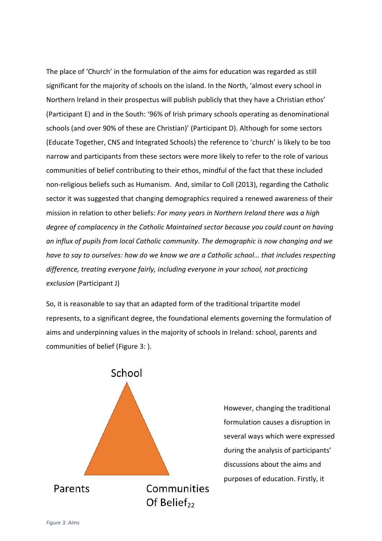The place of 'Church' in the formulation of the aims for education was regarded as still significant for the majority of schools on the island. In the North, 'almost every school in Northern Ireland in their prospectus will publish publicly that they have a Christian ethos' (Participant E) and in the South: '96% of Irish primary schools operating as denominational schools (and over 90% of these are Christian)' (Participant D). Although for some sectors (Educate Together, CNS and Integrated Schools) the reference to 'church' is likely to be too narrow and participants from these sectors were more likely to refer to the role of various communities of belief contributing to their ethos, mindful of the fact that these included non-religious beliefs such as Humanism. And, similar to Coll (2013), regarding the Catholic sector it was suggested that changing demographics required a renewed awareness of their mission in relation to other beliefs: *For many years in Northern Ireland there was a high degree of complacency in the Catholic Maintained sector because you could count on having an influx of pupils from local Catholic community. The demographic is now changing and we have to say to ourselves: how do we know we are a Catholic school… that includes respecting difference, treating everyone fairly, including everyone in your school, not practicing exclusion* (Participant J)

So, it is reasonable to say that an adapted form of the traditional tripartite model represents, to a significant degree, the foundational elements governing the formulation of aims and underpinning values in the majority of schools in Ireland: school, parents and communities of belief [\(Figure 3: \)](#page-23-0).

<span id="page-23-0"></span>

However, changing the traditional formulation causes a disruption in several ways which were expressed during the analysis of participants' discussions about the aims and purposes of education. Firstly, it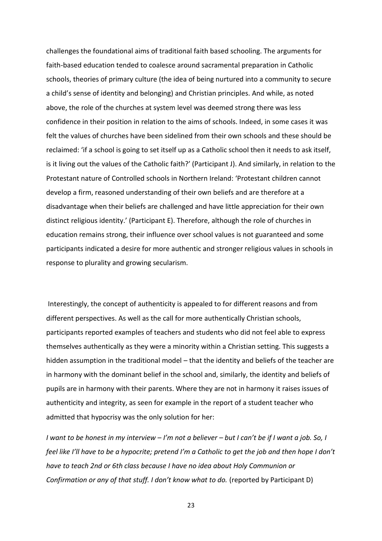challenges the foundational aims of traditional faith based schooling. The arguments for faith-based education tended to coalesce around sacramental preparation in Catholic schools, theories of primary culture (the idea of being nurtured into a community to secure a child's sense of identity and belonging) and Christian principles. And while, as noted above, the role of the churches at system level was deemed strong there was less confidence in their position in relation to the aims of schools. Indeed, in some cases it was felt the values of churches have been sidelined from their own schools and these should be reclaimed: 'if a school is going to set itself up as a Catholic school then it needs to ask itself, is it living out the values of the Catholic faith?' (Participant J). And similarly, in relation to the Protestant nature of Controlled schools in Northern Ireland: 'Protestant children cannot develop a firm, reasoned understanding of their own beliefs and are therefore at a disadvantage when their beliefs are challenged and have little appreciation for their own distinct religious identity.' (Participant E). Therefore, although the role of churches in education remains strong, their influence over school values is not guaranteed and some participants indicated a desire for more authentic and stronger religious values in schools in response to plurality and growing secularism.

Interestingly, the concept of authenticity is appealed to for different reasons and from different perspectives. As well as the call for more authentically Christian schools, participants reported examples of teachers and students who did not feel able to express themselves authentically as they were a minority within a Christian setting. This suggests a hidden assumption in the traditional model – that the identity and beliefs of the teacher are in harmony with the dominant belief in the school and, similarly, the identity and beliefs of pupils are in harmony with their parents. Where they are not in harmony it raises issues of authenticity and integrity, as seen for example in the report of a student teacher who admitted that hypocrisy was the only solution for her:

*I want to be honest in my interview – I'm not a believer – but I can't be if I want a job. So, I feel like I'll have to be a hypocrite; pretend I'm a Catholic to get the job and then hope I don't have to teach 2nd or 6th class because I have no idea about Holy Communion or Confirmation or any of that stuff. I don't know what to do. (reported by Participant D)*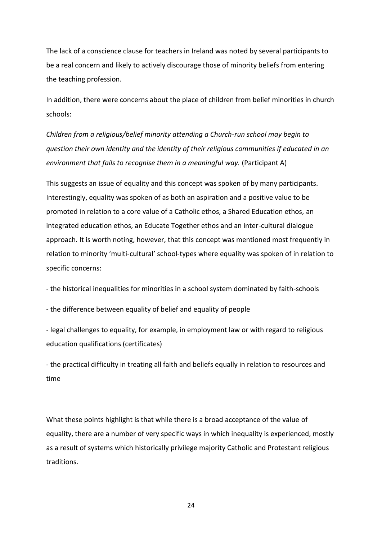The lack of a conscience clause for teachers in Ireland was noted by several participants to be a real concern and likely to actively discourage those of minority beliefs from entering the teaching profession.

In addition, there were concerns about the place of children from belief minorities in church schools:

*Children from a religious/belief minority attending a Church-run school may begin to question their own identity and the identity of their religious communities if educated in an environment that fails to recognise them in a meaningful way.* (Participant A)

This suggests an issue of equality and this concept was spoken of by many participants. Interestingly, equality was spoken of as both an aspiration and a positive value to be promoted in relation to a core value of a Catholic ethos, a Shared Education ethos, an integrated education ethos, an Educate Together ethos and an inter-cultural dialogue approach. It is worth noting, however, that this concept was mentioned most frequently in relation to minority 'multi-cultural' school-types where equality was spoken of in relation to specific concerns:

- the historical inequalities for minorities in a school system dominated by faith-schools

- the difference between equality of belief and equality of people

- legal challenges to equality, for example, in employment law or with regard to religious education qualifications (certificates)

- the practical difficulty in treating all faith and beliefs equally in relation to resources and time

What these points highlight is that while there is a broad acceptance of the value of equality, there are a number of very specific ways in which inequality is experienced, mostly as a result of systems which historically privilege majority Catholic and Protestant religious traditions.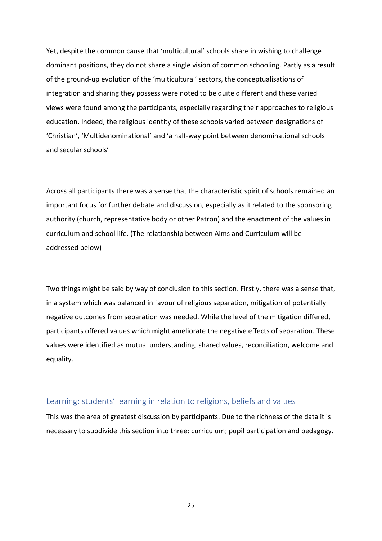Yet, despite the common cause that 'multicultural' schools share in wishing to challenge dominant positions, they do not share a single vision of common schooling. Partly as a result of the ground-up evolution of the 'multicultural' sectors, the conceptualisations of integration and sharing they possess were noted to be quite different and these varied views were found among the participants, especially regarding their approaches to religious education. Indeed, the religious identity of these schools varied between designations of 'Christian', 'Multidenominational' and 'a half-way point between denominational schools and secular schools'

Across all participants there was a sense that the characteristic spirit of schools remained an important focus for further debate and discussion, especially as it related to the sponsoring authority (church, representative body or other Patron) and the enactment of the values in curriculum and school life. (The relationship between Aims and Curriculum will be addressed below)

Two things might be said by way of conclusion to this section. Firstly, there was a sense that, in a system which was balanced in favour of religious separation, mitigation of potentially negative outcomes from separation was needed. While the level of the mitigation differed, participants offered values which might ameliorate the negative effects of separation. These values were identified as mutual understanding, shared values, reconciliation, welcome and equality.

## <span id="page-26-0"></span>Learning: students' learning in relation to religions, beliefs and values

This was the area of greatest discussion by participants. Due to the richness of the data it is necessary to subdivide this section into three: curriculum; pupil participation and pedagogy.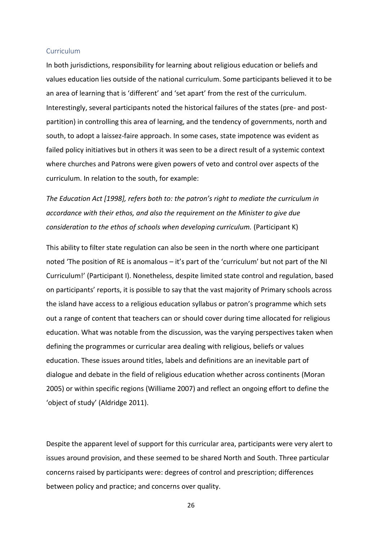#### <span id="page-27-0"></span>Curriculum

In both jurisdictions, responsibility for learning about religious education or beliefs and values education lies outside of the national curriculum. Some participants believed it to be an area of learning that is 'different' and 'set apart' from the rest of the curriculum. Interestingly, several participants noted the historical failures of the states (pre- and postpartition) in controlling this area of learning, and the tendency of governments, north and south, to adopt a laissez-faire approach. In some cases, state impotence was evident as failed policy initiatives but in others it was seen to be a direct result of a systemic context where churches and Patrons were given powers of veto and control over aspects of the curriculum. In relation to the south, for example:

*The Education Act [1998], refers both to: the patron's right to mediate the curriculum in accordance with their ethos, and also the requirement on the Minister to give due consideration to the ethos of schools when developing curriculum.* (Participant K)

This ability to filter state regulation can also be seen in the north where one participant noted 'The position of RE is anomalous – it's part of the 'curriculum' but not part of the NI Curriculum!' (Participant I). Nonetheless, despite limited state control and regulation, based on participants' reports, it is possible to say that the vast majority of Primary schools across the island have access to a religious education syllabus or patron's programme which sets out a range of content that teachers can or should cover during time allocated for religious education. What was notable from the discussion, was the varying perspectives taken when defining the programmes or curricular area dealing with religious, beliefs or values education. These issues around titles, labels and definitions are an inevitable part of dialogue and debate in the field of religious education whether across continents (Moran 2005) or within specific regions (Williame 2007) and reflect an ongoing effort to define the 'object of study' (Aldridge 2011).

Despite the apparent level of support for this curricular area, participants were very alert to issues around provision, and these seemed to be shared North and South. Three particular concerns raised by participants were: degrees of control and prescription; differences between policy and practice; and concerns over quality.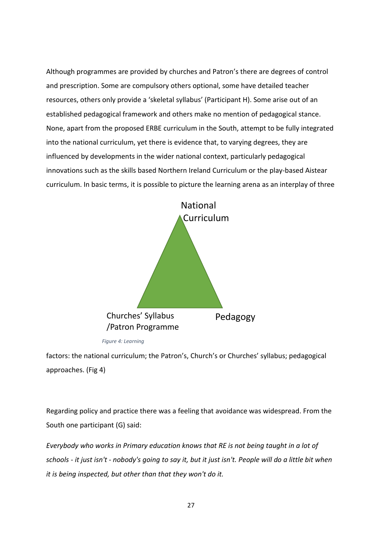Although programmes are provided by churches and Patron's there are degrees of control and prescription. Some are compulsory others optional, some have detailed teacher resources, others only provide a 'skeletal syllabus' (Participant H). Some arise out of an established pedagogical framework and others make no mention of pedagogical stance. None, apart from the proposed ERBE curriculum in the South, attempt to be fully integrated into the national curriculum, yet there is evidence that, to varying degrees, they are influenced by developments in the wider national context, particularly pedagogical innovations such as the skills based Northern Ireland Curriculum or the play-based Aistear curriculum. In basic terms, it is possible to picture the learning arena as an interplay of three



*Figure 4: Learning*

factors: the national curriculum; the Patron's, Church's or Churches' syllabus; pedagogical approaches. (Fig 4)

Regarding policy and practice there was a feeling that avoidance was widespread. From the South one participant (G) said:

*Everybody who works in Primary education knows that RE is not being taught in a lot of schools - it just isn't - nobody's going to say it, but it just isn't. People will do a little bit when it is being inspected, but other than that they won't do it.*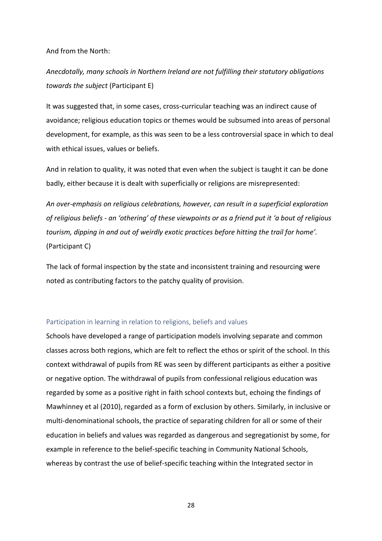And from the North:

*Anecdotally, many schools in Northern Ireland are not fulfilling their statutory obligations towards the subject* (Participant E)

It was suggested that, in some cases, cross-curricular teaching was an indirect cause of avoidance; religious education topics or themes would be subsumed into areas of personal development, for example, as this was seen to be a less controversial space in which to deal with ethical issues, values or beliefs.

And in relation to quality, it was noted that even when the subject is taught it can be done badly, either because it is dealt with superficially or religions are misrepresented:

*An over-emphasis on religious celebrations, however, can result in a superficial exploration of religious beliefs - an 'othering' of these viewpoints or as a friend put it 'a bout of religious tourism, dipping in and out of weirdly exotic practices before hitting the trail for home'.* (Participant C)

The lack of formal inspection by the state and inconsistent training and resourcing were noted as contributing factors to the patchy quality of provision.

### <span id="page-29-0"></span>Participation in learning in relation to religions, beliefs and values

Schools have developed a range of participation models involving separate and common classes across both regions, which are felt to reflect the ethos or spirit of the school. In this context withdrawal of pupils from RE was seen by different participants as either a positive or negative option. The withdrawal of pupils from confessional religious education was regarded by some as a positive right in faith school contexts but, echoing the findings of Mawhinney et al (2010), regarded as a form of exclusion by others. Similarly, in inclusive or multi-denominational schools, the practice of separating children for all or some of their education in beliefs and values was regarded as dangerous and segregationist by some, for example in reference to the belief-specific teaching in Community National Schools, whereas by contrast the use of belief-specific teaching within the Integrated sector in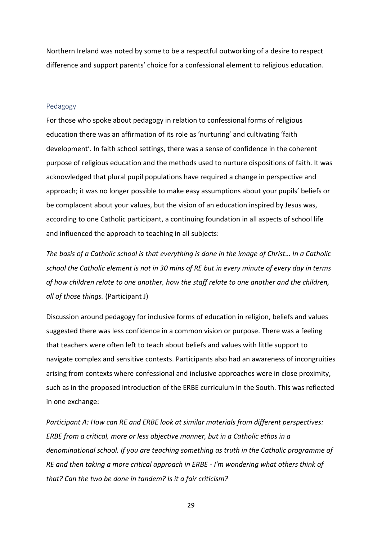Northern Ireland was noted by some to be a respectful outworking of a desire to respect difference and support parents' choice for a confessional element to religious education.

#### <span id="page-30-0"></span>Pedagogy

For those who spoke about pedagogy in relation to confessional forms of religious education there was an affirmation of its role as 'nurturing' and cultivating 'faith development'. In faith school settings, there was a sense of confidence in the coherent purpose of religious education and the methods used to nurture dispositions of faith. It was acknowledged that plural pupil populations have required a change in perspective and approach; it was no longer possible to make easy assumptions about your pupils' beliefs or be complacent about your values, but the vision of an education inspired by Jesus was, according to one Catholic participant, a continuing foundation in all aspects of school life and influenced the approach to teaching in all subjects:

*The basis of a Catholic school is that everything is done in the image of Christ… In a Catholic school the Catholic element is not in 30 mins of RE but in every minute of every day in terms of how children relate to one another, how the staff relate to one another and the children, all of those things.* (Participant J)

Discussion around pedagogy for inclusive forms of education in religion, beliefs and values suggested there was less confidence in a common vision or purpose. There was a feeling that teachers were often left to teach about beliefs and values with little support to navigate complex and sensitive contexts. Participants also had an awareness of incongruities arising from contexts where confessional and inclusive approaches were in close proximity, such as in the proposed introduction of the ERBE curriculum in the South. This was reflected in one exchange:

*Participant A: How can RE and ERBE look at similar materials from different perspectives: ERBE from a critical, more or less objective manner, but in a Catholic ethos in a denominational school. If you are teaching something as truth in the Catholic programme of RE and then taking a more critical approach in ERBE - I'm wondering what others think of that? Can the two be done in tandem? Is it a fair criticism?*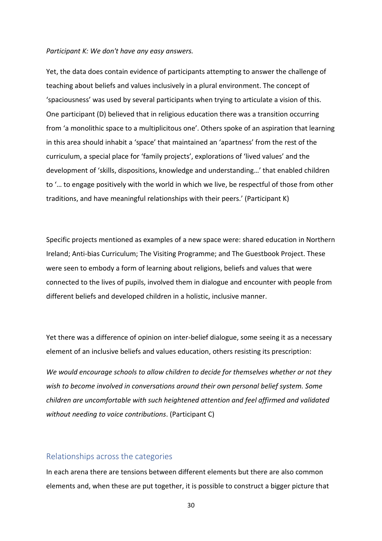#### *Participant K: We don't have any easy answers.*

Yet, the data does contain evidence of participants attempting to answer the challenge of teaching about beliefs and values inclusively in a plural environment. The concept of 'spaciousness' was used by several participants when trying to articulate a vision of this. One participant (D) believed that in religious education there was a transition occurring from 'a monolithic space to a multiplicitous one'. Others spoke of an aspiration that learning in this area should inhabit a 'space' that maintained an 'apartness' from the rest of the curriculum, a special place for 'family projects', explorations of 'lived values' and the development of 'skills, dispositions, knowledge and understanding…' that enabled children to '… to engage positively with the world in which we live, be respectful of those from other traditions, and have meaningful relationships with their peers.' (Participant K)

Specific projects mentioned as examples of a new space were: shared education in Northern Ireland; Anti-bias Curriculum; The Visiting Programme; and The Guestbook Project. These were seen to embody a form of learning about religions, beliefs and values that were connected to the lives of pupils, involved them in dialogue and encounter with people from different beliefs and developed children in a holistic, inclusive manner.

Yet there was a difference of opinion on inter-belief dialogue, some seeing it as a necessary element of an inclusive beliefs and values education, others resisting its prescription:

*We would encourage schools to allow children to decide for themselves whether or not they wish to become involved in conversations around their own personal belief system. Some children are uncomfortable with such heightened attention and feel affirmed and validated without needing to voice contributions*. (Participant C)

## <span id="page-31-0"></span>Relationships across the categories

In each arena there are tensions between different elements but there are also common elements and, when these are put together, it is possible to construct a bigger picture that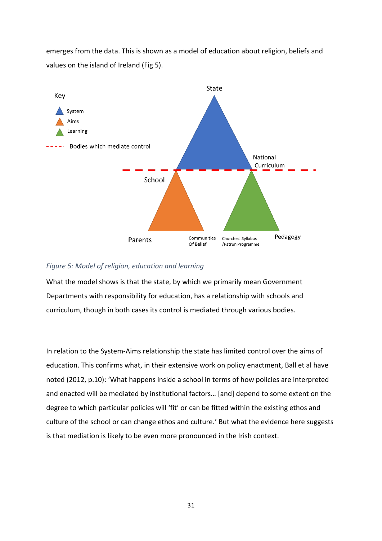emerges from the data. This is shown as a model of education about religion, beliefs and values on the island of Ireland (Fig 5).



## <span id="page-32-0"></span>*Figure 5: Model of religion, education and learning*

What the model shows is that the state, by which we primarily mean Government Departments with responsibility for education, has a relationship with schools and curriculum, though in both cases its control is mediated through various bodies.

In relation to the System-Aims relationship the state has limited control over the aims of education. This confirms what, in their extensive work on policy enactment, Ball et al have noted (2012, p.10): 'What happens inside a school in terms of how policies are interpreted and enacted will be mediated by institutional factors… [and] depend to some extent on the degree to which particular policies will 'fit' or can be fitted within the existing ethos and culture of the school or can change ethos and culture.' But what the evidence here suggests is that mediation is likely to be even more pronounced in the Irish context.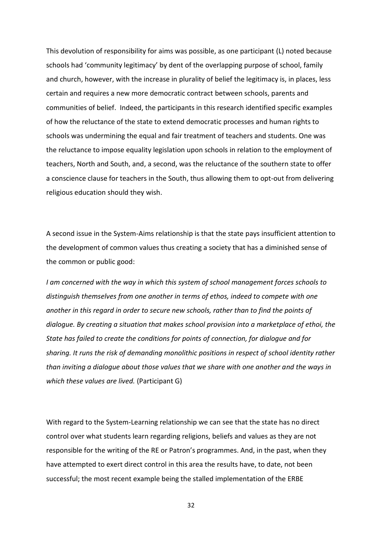This devolution of responsibility for aims was possible, as one participant (L) noted because schools had 'community legitimacy' by dent of the overlapping purpose of school, family and church, however, with the increase in plurality of belief the legitimacy is, in places, less certain and requires a new more democratic contract between schools, parents and communities of belief. Indeed, the participants in this research identified specific examples of how the reluctance of the state to extend democratic processes and human rights to schools was undermining the equal and fair treatment of teachers and students. One was the reluctance to impose equality legislation upon schools in relation to the employment of teachers, North and South, and, a second, was the reluctance of the southern state to offer a conscience clause for teachers in the South, thus allowing them to opt-out from delivering religious education should they wish.

A second issue in the System-Aims relationship is that the state pays insufficient attention to the development of common values thus creating a society that has a diminished sense of the common or public good:

*I am concerned with the way in which this system of school management forces schools to distinguish themselves from one another in terms of ethos, indeed to compete with one another in this regard in order to secure new schools, rather than to find the points of dialogue. By creating a situation that makes school provision into a marketplace of ethoi, the State has failed to create the conditions for points of connection, for dialogue and for sharing. It runs the risk of demanding monolithic positions in respect of school identity rather than inviting a dialogue about those values that we share with one another and the ways in which these values are lived.* (Participant G)

With regard to the System-Learning relationship we can see that the state has no direct control over what students learn regarding religions, beliefs and values as they are not responsible for the writing of the RE or Patron's programmes. And, in the past, when they have attempted to exert direct control in this area the results have, to date, not been successful; the most recent example being the stalled implementation of the ERBE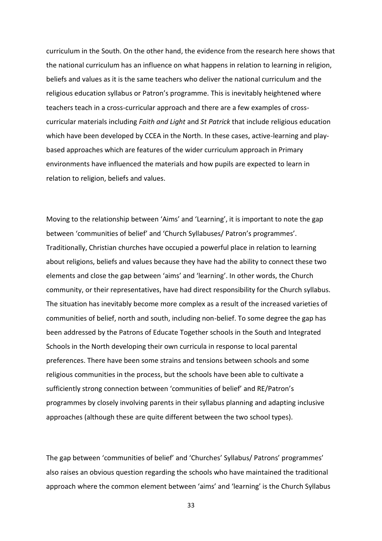curriculum in the South. On the other hand, the evidence from the research here shows that the national curriculum has an influence on what happens in relation to learning in religion, beliefs and values as it is the same teachers who deliver the national curriculum and the religious education syllabus or Patron's programme. This is inevitably heightened where teachers teach in a cross-curricular approach and there are a few examples of crosscurricular materials including *Faith and Light* and *St Patrick* that include religious education which have been developed by CCEA in the North. In these cases, active-learning and playbased approaches which are features of the wider curriculum approach in Primary environments have influenced the materials and how pupils are expected to learn in relation to religion, beliefs and values.

Moving to the relationship between 'Aims' and 'Learning', it is important to note the gap between 'communities of belief' and 'Church Syllabuses/ Patron's programmes'. Traditionally, Christian churches have occupied a powerful place in relation to learning about religions, beliefs and values because they have had the ability to connect these two elements and close the gap between 'aims' and 'learning'. In other words, the Church community, or their representatives, have had direct responsibility for the Church syllabus. The situation has inevitably become more complex as a result of the increased varieties of communities of belief, north and south, including non-belief. To some degree the gap has been addressed by the Patrons of Educate Together schools in the South and Integrated Schools in the North developing their own curricula in response to local parental preferences. There have been some strains and tensions between schools and some religious communities in the process, but the schools have been able to cultivate a sufficiently strong connection between 'communities of belief' and RE/Patron's programmes by closely involving parents in their syllabus planning and adapting inclusive approaches (although these are quite different between the two school types).

The gap between 'communities of belief' and 'Churches' Syllabus/ Patrons' programmes' also raises an obvious question regarding the schools who have maintained the traditional approach where the common element between 'aims' and 'learning' is the Church Syllabus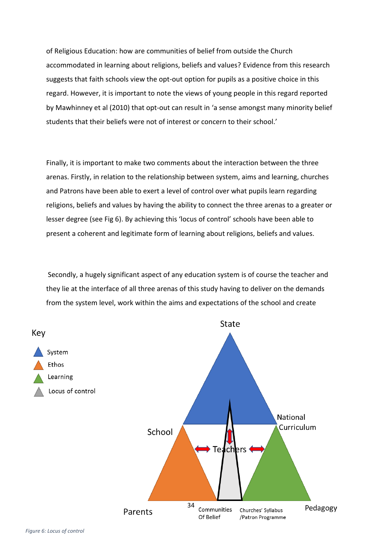of Religious Education: how are communities of belief from outside the Church accommodated in learning about religions, beliefs and values? Evidence from this research suggests that faith schools view the opt-out option for pupils as a positive choice in this regard. However, it is important to note the views of young people in this regard reported by Mawhinney et al (2010) that opt-out can result in 'a sense amongst many minority belief students that their beliefs were not of interest or concern to their school.'

Finally, it is important to make two comments about the interaction between the three arenas. Firstly, in relation to the relationship between system, aims and learning, churches and Patrons have been able to exert a level of control over what pupils learn regarding religions, beliefs and values by having the ability to connect the three arenas to a greater or lesser degree (see Fig 6). By achieving this 'locus of control' schools have been able to present a coherent and legitimate form of learning about religions, beliefs and values.

Secondly, a hugely significant aspect of any education system is of course the teacher and they lie at the interface of all three arenas of this study having to deliver on the demands from the system level, work within the aims and expectations of the school and create



*Figure 6: Locus of control*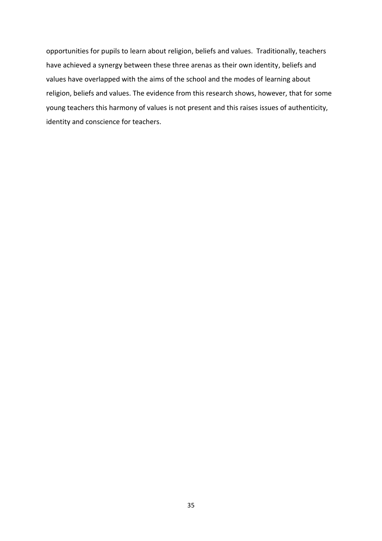opportunities for pupils to learn about religion, beliefs and values. Traditionally, teachers have achieved a synergy between these three arenas as their own identity, beliefs and values have overlapped with the aims of the school and the modes of learning about religion, beliefs and values. The evidence from this research shows, however, that for some young teachers this harmony of values is not present and this raises issues of authenticity, identity and conscience for teachers.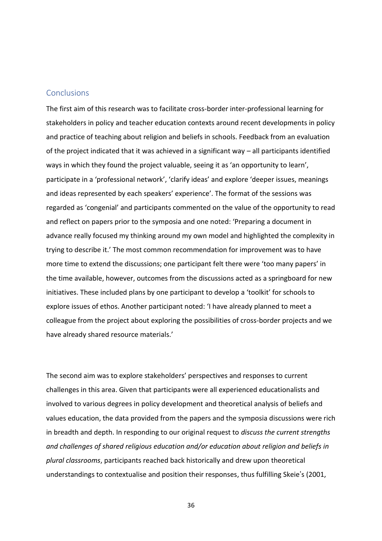## <span id="page-37-0"></span>**Conclusions**

The first aim of this research was to facilitate cross-border inter-professional learning for stakeholders in policy and teacher education contexts around recent developments in policy and practice of teaching about religion and beliefs in schools. Feedback from an evaluation of the project indicated that it was achieved in a significant way – all participants identified ways in which they found the project valuable, seeing it as 'an opportunity to learn', participate in a 'professional network', 'clarify ideas' and explore 'deeper issues, meanings and ideas represented by each speakers' experience'. The format of the sessions was regarded as 'congenial' and participants commented on the value of the opportunity to read and reflect on papers prior to the symposia and one noted: 'Preparing a document in advance really focused my thinking around my own model and highlighted the complexity in trying to describe it.' The most common recommendation for improvement was to have more time to extend the discussions; one participant felt there were 'too many papers' in the time available, however, outcomes from the discussions acted as a springboard for new initiatives. These included plans by one participant to develop a 'toolkit' for schools to explore issues of ethos. Another participant noted: 'I have already planned to meet a colleague from the project about exploring the possibilities of cross-border projects and we have already shared resource materials.'

The second aim was to explore stakeholders' perspectives and responses to current challenges in this area. Given that participants were all experienced educationalists and involved to various degrees in policy development and theoretical analysis of beliefs and values education, the data provided from the papers and the symposia discussions were rich in breadth and depth. In responding to our original request to *discuss the current strengths and challenges of shared religious education and/or education about religion and beliefs in plural classrooms*, participants reached back historically and drew upon theoretical understandings to contextualise and position their responses, thus fulfilling Skeie's (2001,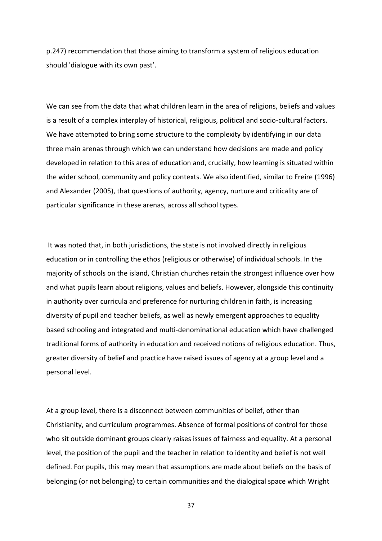p.247) recommendation that those aiming to transform a system of religious education should 'dialogue with its own past'.

We can see from the data that what children learn in the area of religions, beliefs and values is a result of a complex interplay of historical, religious, political and socio-cultural factors. We have attempted to bring some structure to the complexity by identifying in our data three main arenas through which we can understand how decisions are made and policy developed in relation to this area of education and, crucially, how learning is situated within the wider school, community and policy contexts. We also identified, similar to Freire (1996) and Alexander (2005), that questions of authority, agency, nurture and criticality are of particular significance in these arenas, across all school types.

It was noted that, in both jurisdictions, the state is not involved directly in religious education or in controlling the ethos (religious or otherwise) of individual schools. In the majority of schools on the island, Christian churches retain the strongest influence over how and what pupils learn about religions, values and beliefs. However, alongside this continuity in authority over curricula and preference for nurturing children in faith, is increasing diversity of pupil and teacher beliefs, as well as newly emergent approaches to equality based schooling and integrated and multi-denominational education which have challenged traditional forms of authority in education and received notions of religious education. Thus, greater diversity of belief and practice have raised issues of agency at a group level and a personal level.

At a group level, there is a disconnect between communities of belief, other than Christianity, and curriculum programmes. Absence of formal positions of control for those who sit outside dominant groups clearly raises issues of fairness and equality. At a personal level, the position of the pupil and the teacher in relation to identity and belief is not well defined. For pupils, this may mean that assumptions are made about beliefs on the basis of belonging (or not belonging) to certain communities and the dialogical space which Wright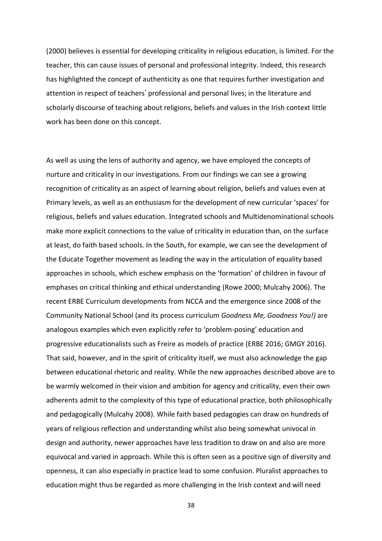(2000) believes is essential for developing criticality in religious education, is limited. For the teacher, this can cause issues of personal and professional integrity. Indeed, this research has highlighted the concept of authenticity as one that requires further investigation and attention in respect of teachers' professional and personal lives; in the literature and scholarly discourse of teaching about religions, beliefs and values in the Irish context little work has been done on this concept.

As well as using the lens of authority and agency, we have employed the concepts of nurture and criticality in our investigations. From our findings we can see a growing recognition of criticality as an aspect of learning about religion, beliefs and values even at Primary levels, as well as an enthusiasm for the development of new curricular 'spaces' for religious, beliefs and values education. Integrated schools and Multidenominational schools make more explicit connections to the value of criticality in education than, on the surface at least, do faith based schools. In the South, for example, we can see the development of the Educate Together movement as leading the way in the articulation of equality based approaches in schools, which eschew emphasis on the 'formation' of children in favour of emphases on critical thinking and ethical understanding (Rowe 2000; Mulcahy 2006). The recent ERBE Curriculum developments from NCCA and the emergence since 2008 of the Community National School (and its process curriculum *Goodness Me, Goodness You!)* are analogous examples which even explicitly refer to 'problem-posing' education and progressive educationalists such as Freire as models of practice (ERBE 2016; GMGY 2016). That said, however, and in the spirit of criticality itself, we must also acknowledge the gap between educational rhetoric and reality. While the new approaches described above are to be warmly welcomed in their vision and ambition for agency and criticality, even their own adherents admit to the complexity of this type of educational practice, both philosophically and pedagogically (Mulcahy 2008). While faith based pedagogies can draw on hundreds of years of religious reflection and understanding whilst also being somewhat univocal in design and authority, newer approaches have less tradition to draw on and also are more equivocal and varied in approach. While this is often seen as a positive sign of diversity and openness, it can also especially in practice lead to some confusion. Pluralist approaches to education might thus be regarded as more challenging in the Irish context and will need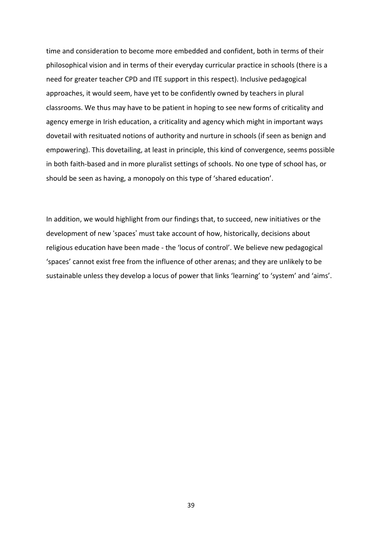time and consideration to become more embedded and confident, both in terms of their philosophical vision and in terms of their everyday curricular practice in schools (there is a need for greater teacher CPD and ITE support in this respect). Inclusive pedagogical approaches, it would seem, have yet to be confidently owned by teachers in plural classrooms. We thus may have to be patient in hoping to see new forms of criticality and agency emerge in Irish education, a criticality and agency which might in important ways dovetail with resituated notions of authority and nurture in schools (if seen as benign and empowering). This dovetailing, at least in principle, this kind of convergence, seems possible in both faith-based and in more pluralist settings of schools. No one type of school has, or should be seen as having, a monopoly on this type of 'shared education'.

In addition, we would highlight from our findings that, to succeed, new initiatives or the development of new 'spaces' must take account of how, historically, decisions about religious education have been made - the 'locus of control'. We believe new pedagogical 'spaces' cannot exist free from the influence of other arenas; and they are unlikely to be sustainable unless they develop a locus of power that links 'learning' to 'system' and 'aims'.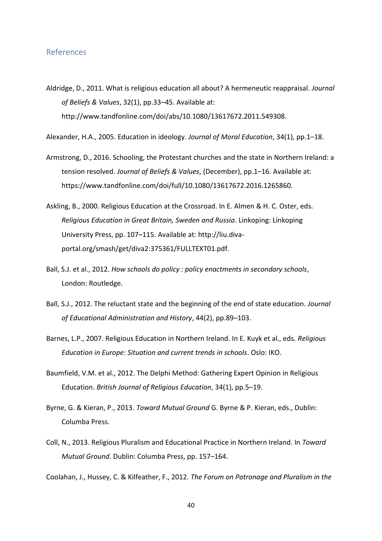## <span id="page-41-0"></span>References

- Aldridge, D., 2011. What is religious education all about? A hermeneutic reappraisal. *Journal of Beliefs & Values*, 32(1), pp.33–45. Available at: http://www.tandfonline.com/doi/abs/10.1080/13617672.2011.549308.
- Alexander, H.A., 2005. Education in ideology. *Journal of Moral Education*, 34(1), pp.1–18.
- Armstrong, D., 2016. Schooling, the Protestant churches and the state in Northern Ireland: a tension resolved. *Journal of Beliefs & Values*, (December), pp.1–16. Available at: https://www.tandfonline.com/doi/full/10.1080/13617672.2016.1265860.
- Askling, B., 2000. Religious Education at the Crossroad. In E. Almen & H. C. Oster, eds. *Religious Education in Great Britain, Sweden and Russia*. Linkoping: Linkoping University Press, pp. 107–115. Available at: http://liu.divaportal.org/smash/get/diva2:375361/FULLTEXT01.pdf.
- Ball, S.J. et al., 2012. *How schools do policy : policy enactments in secondary schools*, London: Routledge.
- Ball, S.J., 2012. The reluctant state and the beginning of the end of state education. *Journal of Educational Administration and History*, 44(2), pp.89–103.
- Barnes, L.P., 2007. Religious Education in Northern Ireland. In E. Kuyk et al., eds. *Religious Education in Europe: Situation and current trends in schools*. Oslo: IKO.
- Baumfield, V.M. et al., 2012. The Delphi Method: Gathering Expert Opinion in Religious Education. *British Journal of Religious Education*, 34(1), pp.5–19.
- Byrne, G. & Kieran, P., 2013. *Toward Mutual Ground* G. Byrne & P. Kieran, eds., Dublin: Columba Press.
- Coll, N., 2013. Religious Pluralism and Educational Practice in Northern Ireland. In *Toward Mutual Ground*. Dublin: Columba Press, pp. 157–164.

Coolahan, J., Hussey, C. & Kilfeather, F., 2012. *The Forum on Patronage and Pluralism in the*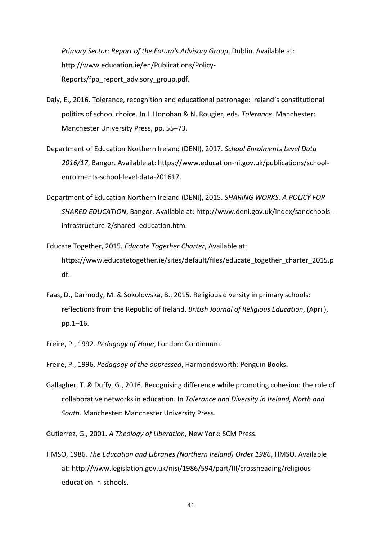*Primary Sector: Report of the Forum's Advisory Group*, Dublin. Available at: http://www.education.ie/en/Publications/Policy-Reports/fpp\_report\_advisory\_group.pdf.

- Daly, E., 2016. Tolerance, recognition and educational patronage: Ireland's constitutional politics of school choice. In I. Honohan & N. Rougier, eds. *Tolerance*. Manchester: Manchester University Press, pp. 55–73.
- Department of Education Northern Ireland (DENI), 2017. *School Enrolments Level Data 2016/17*, Bangor. Available at: https://www.education-ni.gov.uk/publications/schoolenrolments-school-level-data-201617.
- Department of Education Northern Ireland (DENI), 2015. *SHARING WORKS: A POLICY FOR SHARED EDUCATION*, Bangor. Available at: http://www.deni.gov.uk/index/sandchools- infrastructure-2/shared\_education.htm.
- Educate Together, 2015. *Educate Together Charter*, Available at: https://www.educatetogether.ie/sites/default/files/educate\_together\_charter\_2015.p df.
- Faas, D., Darmody, M. & Sokolowska, B., 2015. Religious diversity in primary schools: reflections from the Republic of Ireland. *British Journal of Religious Education*, (April), pp.1–16.
- Freire, P., 1992. *Pedagogy of Hope*, London: Continuum.
- Freire, P., 1996. *Pedagogy of the oppressed*, Harmondsworth: Penguin Books.
- Gallagher, T. & Duffy, G., 2016. Recognising difference while promoting cohesion: the role of collaborative networks in education. In *Tolerance and Diversity in Ireland, North and South*. Manchester: Manchester University Press.
- Gutierrez, G., 2001. *A Theology of Liberation*, New York: SCM Press.
- HMSO, 1986. *The Education and Libraries (Northern Ireland) Order 1986*, HMSO. Available at: http://www.legislation.gov.uk/nisi/1986/594/part/III/crossheading/religiouseducation-in-schools.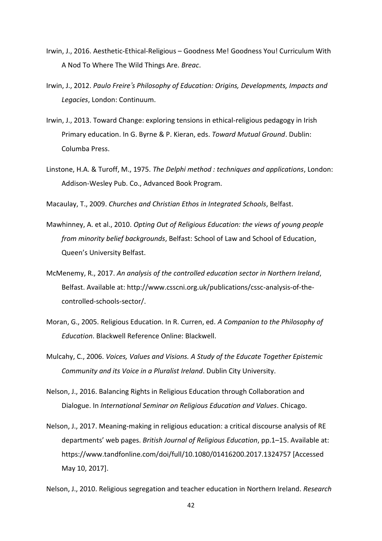- Irwin, J., 2016. Aesthetic-Ethical-Religious Goodness Me! Goodness You! Curriculum With A Nod To Where The Wild Things Are. *Breac*.
- Irwin, J., 2012. *Paulo Freire's Philosophy of Education: Origins, Developments, Impacts and Legacies*, London: Continuum.
- Irwin, J., 2013. Toward Change: exploring tensions in ethical-religious pedagogy in Irish Primary education. In G. Byrne & P. Kieran, eds. *Toward Mutual Ground*. Dublin: Columba Press.
- Linstone, H.A. & Turoff, M., 1975. *The Delphi method : techniques and applications*, London: Addison-Wesley Pub. Co., Advanced Book Program.
- Macaulay, T., 2009. *Churches and Christian Ethos in Integrated Schools*, Belfast.
- Mawhinney, A. et al., 2010. *Opting Out of Religious Education: the views of young people from minority belief backgrounds*, Belfast: School of Law and School of Education, Queen's University Belfast.
- McMenemy, R., 2017. *An analysis of the controlled education sector in Northern Ireland*, Belfast. Available at: http://www.csscni.org.uk/publications/cssc-analysis-of-thecontrolled-schools-sector/.
- Moran, G., 2005. Religious Education. In R. Curren, ed. *A Companion to the Philosophy of Education*. Blackwell Reference Online: Blackwell.
- Mulcahy, C., 2006. *Voices, Values and Visions. A Study of the Educate Together Epistemic Community and its Voice in a Pluralist Ireland*. Dublin City University.
- Nelson, J., 2016. Balancing Rights in Religious Education through Collaboration and Dialogue. In *International Seminar on Religious Education and Values*. Chicago.
- Nelson, J., 2017. Meaning-making in religious education: a critical discourse analysis of RE departments' web pages. *British Journal of Religious Education*, pp.1–15. Available at: https://www.tandfonline.com/doi/full/10.1080/01416200.2017.1324757 [Accessed May 10, 2017].

Nelson, J., 2010. Religious segregation and teacher education in Northern Ireland. *Research*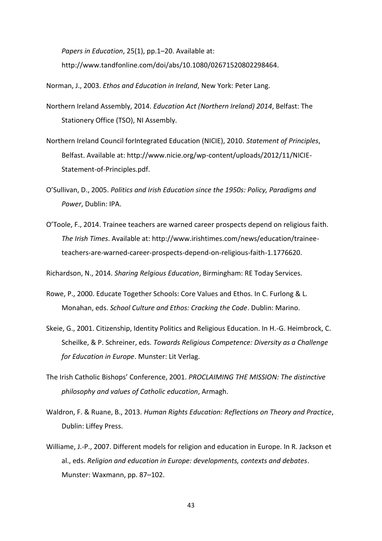*Papers in Education*, 25(1), pp.1–20. Available at: http://www.tandfonline.com/doi/abs/10.1080/02671520802298464.

Norman, J., 2003. *Ethos and Education in Ireland*, New York: Peter Lang.

- Northern Ireland Assembly, 2014. *Education Act (Northern Ireland) 2014*, Belfast: The Stationery Office (TSO), NI Assembly.
- Northern Ireland Council forIntegrated Education (NICIE), 2010. *Statement of Principles*, Belfast. Available at: http://www.nicie.org/wp-content/uploads/2012/11/NICIE-Statement-of-Principles.pdf.
- O'Sullivan, D., 2005. *Politics and Irish Education since the 1950s: Policy, Paradigms and Power*, Dublin: IPA.
- O'Toole, F., 2014. Trainee teachers are warned career prospects depend on religious faith. *The Irish Times*. Available at: http://www.irishtimes.com/news/education/traineeteachers-are-warned-career-prospects-depend-on-religious-faith-1.1776620.

Richardson, N., 2014. *Sharing Relgious Education*, Birmingham: RE Today Services.

- Rowe, P., 2000. Educate Together Schools: Core Values and Ethos. In C. Furlong & L. Monahan, eds. *School Culture and Ethos: Cracking the Code*. Dublin: Marino.
- Skeie, G., 2001. Citizenship, Identity Politics and Religious Education. In H.-G. Heimbrock, C. Scheilke, & P. Schreiner, eds. *Towards Religious Competence: Diversity as a Challenge for Education in Europe*. Munster: Lit Verlag.
- The Irish Catholic Bishops' Conference, 2001. *PROCLAIMING THE MISSION: The distinctive philosophy and values of Catholic education*, Armagh.
- Waldron, F. & Ruane, B., 2013. *Human Rights Education: Reflections on Theory and Practice*, Dublin: Liffey Press.
- Williame, J.-P., 2007. Different models for religion and education in Europe. In R. Jackson et al., eds. *Religion and education in Europe: developments, contexts and debates*. Munster: Waxmann, pp. 87–102.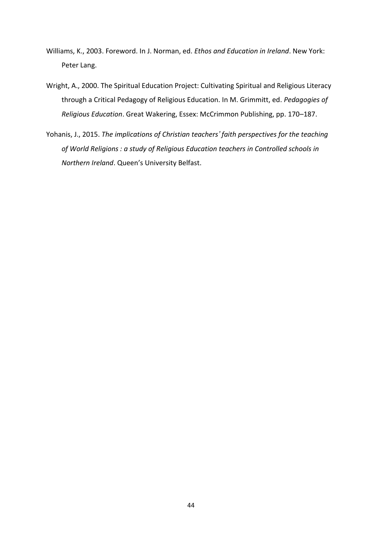- Williams, K., 2003. Foreword. In J. Norman, ed. *Ethos and Education in Ireland*. New York: Peter Lang.
- Wright, A., 2000. The Spiritual Education Project: Cultivating Spiritual and Religious Literacy through a Critical Pedagogy of Religious Education. In M. Grimmitt, ed. *Pedagogies of Religious Education*. Great Wakering, Essex: McCrimmon Publishing, pp. 170–187.
- Yohanis, J., 2015. *The implications of Christian teachers' faith perspectives for the teaching of World Religions : a study of Religious Education teachers in Controlled schools in Northern Ireland*. Queen's University Belfast.